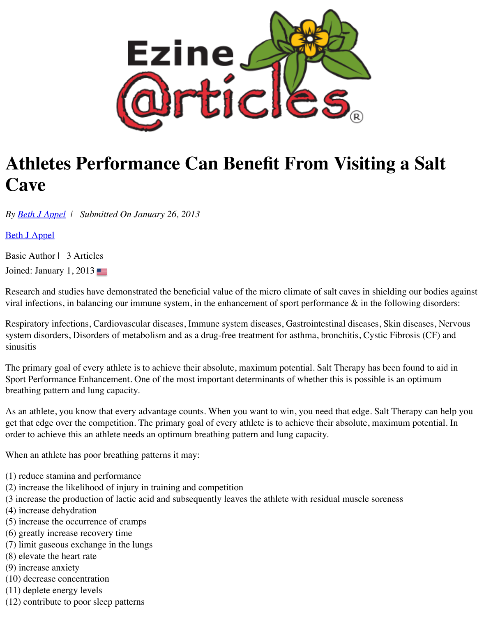

## **Athletes Performance Can Benefit From Visiting a Salt Cave**

*By [Beth J Appel](http://ezinearticles.com/expert/Beth_J_Appel/1476290) | Submitted On January 26, 2013*

[Beth J Appel](http://ezinearticles.com/expert/Beth_J_Appel/1476290)

Basic Author | 3 Articles

Joined: January 1, 2013

Research and studies have demonstrated the beneficial value of the micro climate of salt caves in shielding our bodies against viral infections, in balancing our immune system, in the enhancement of sport performance  $\&$  in the following disorders:

Respiratory infections, Cardiovascular diseases, Immune system diseases, Gastrointestinal diseases, Skin diseases, Nervous system disorders, Disorders of metabolism and as a drug-free treatment for asthma, bronchitis, Cystic Fibrosis (CF) and sinusitis

The primary goal of every athlete is to achieve their absolute, maximum potential. Salt Therapy has been found to aid in Sport Performance Enhancement. One of the most important determinants of whether this is possible is an optimum breathing pattern and lung capacity.

As an athlete, you know that every advantage counts. When you want to win, you need that edge. Salt Therapy can help you get that edge over the competition. The primary goal of every athlete is to achieve their absolute, maximum potential. In order to achieve this an athlete needs an optimum breathing pattern and lung capacity.

When an athlete has poor breathing patterns it may:

- (1) reduce stamina and performance
- (2) increase the likelihood of injury in training and competition
- (3 increase the production of lactic acid and subsequently leaves the athlete with residual muscle soreness
- (4) increase dehydration
- (5) increase the occurrence of cramps
- (6) greatly increase recovery time
- (7) limit gaseous exchange in the lungs
- (8) elevate the heart rate
- (9) increase anxiety
- (10) decrease concentration
- (11) deplete energy levels
- (12) contribute to poor sleep patterns